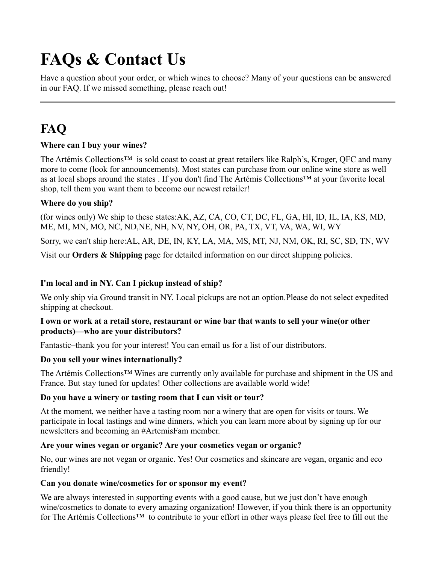# **FAQs & Contact Us**

Have a question about your order, or which wines to choose? Many of your questions can be answered in our FAQ. If we missed something, please reach out!

# **FAQ**

### **Where can I buy your wines?**

The Artémis Collections<sup>™</sup> is sold coast to coast at great retailers like Ralph's, Kroger, QFC and many more to come (look for announcements). Most states can purchase from our online wine store as well as at local shops around the states . If you don't find The Artémis Collections™ at your favorite local shop, tell them you want them to become our newest retailer!

#### **Where do you ship?**

(for wines only) We ship to these states:AK, AZ, CA, CO, CT, DC, FL, GA, HI, ID, IL, IA, KS, MD, ME, MI, MN, MO, NC, ND,NE, NH, NV, NY, OH, OR, PA, TX, VT, VA, WA, WI, WY

Sorry, we can't ship here:AL, AR, DE, IN, KY, LA, MA, MS, MT, NJ, NM, OK, RI, SC, SD, TN, WV

Visit our **Orders & Shipping** page for detailed information on our direct shipping policies.

## **I'm local and in NY. Can I pickup instead of ship?**

We only ship via Ground transit in NY. Local pickups are not an option.Please do not select expedited shipping at checkout.

#### **I own or work at a retail store, restaurant or wine bar that wants to sell your wine(or other products)—who are your distributors?**

Fantastic–thank you for your interest! You can email us for a list of our distributors.

#### **Do you sell your wines internationally?**

The Artémis Collections™ Wines are currently only available for purchase and shipment in the US and France. But stay tuned for updates! Other collections are available world wide!

#### **Do you have a winery or tasting room that I can visit or tour?**

At the moment, we neither have a tasting room nor a winery that are open for visits or tours. We participate in local tastings and wine dinners, which you can learn more about by signing up for our newsletters and becoming an #ArtemisFam member.

#### **Are your wines vegan or organic? Are your cosmetics vegan or organic?**

No, our wines are not vegan or organic. Yes! Our cosmetics and skincare are vegan, organic and eco friendly!

#### **Can you donate wine/cosmetics for or sponsor my event?**

We are always interested in supporting events with a good cause, but we just don't have enough wine/cosmetics to donate to every amazing organization! However, if you think there is an opportunity for The Artémis Collections™ to contribute to your effort in other ways please feel free to fill out the